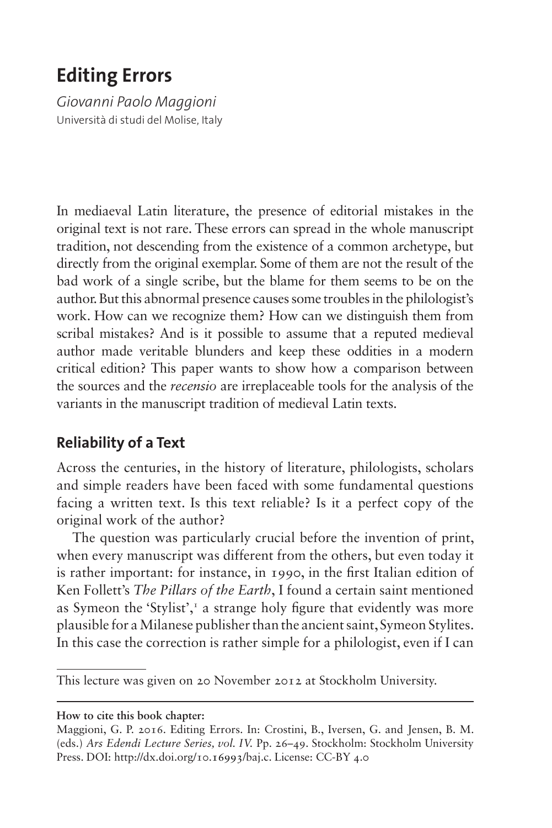# **Editing Errors**

*Giovanni Paolo Maggioni* Università di studi del Molise, Italy

In mediaeval Latin literature, the presence of editorial mistakes in the original text is not rare. These errors can spread in the whole manuscript tradition, not descending from the existence of a common archetype, but directly from the original exemplar. Some of them are not the result of the bad work of a single scribe, but the blame for them seems to be on the author. But this abnormal presence causes some troubles in the philologist's work. How can we recognize them? How can we distinguish them from scribal mistakes? And is it possible to assume that a reputed medieval author made veritable blunders and keep these oddities in a modern critical edition? This paper wants to show how a comparison between the sources and the *recensio* are irreplaceable tools for the analysis of the variants in the manuscript tradition of medieval Latin texts.

# **Reliability of a Text**

Across the centuries, in the history of literature, philologists, scholars and simple readers have been faced with some fundamental questions facing a written text. Is this text reliable? Is it a perfect copy of the original work of the author?

The question was particularly crucial before the invention of print, when every manuscript was different from the others, but even today it is rather important: for instance, in 1990, in the first Italian edition of Ken Follett's *The Pillars of the Earth*, I found a certain saint mentioned as Symeon the 'Stylist', $\frac{1}{2}$  a strange holy figure that evidently was more plausible for a Milanese publisher than the ancient saint, Symeon Stylites. In this case the correction is rather simple for a philologist, even if I can

This lecture was given on 20 November 2012 at Stockholm University.

#### **How to cite this book chapter:**

Maggioni, G. P. 2016. Editing Errors. In: Crostini, B., Iversen, G. and Jensen, B. M. (eds.) *Ars Edendi Lecture Series, vol. IV.* Pp. 26–49. Stockholm: Stockholm University Press. DOI: [http://dx.doi.org/10.16993/baj.c.](http://dx.doi.org/10.16993/baj.c) License: CC-BY 4.0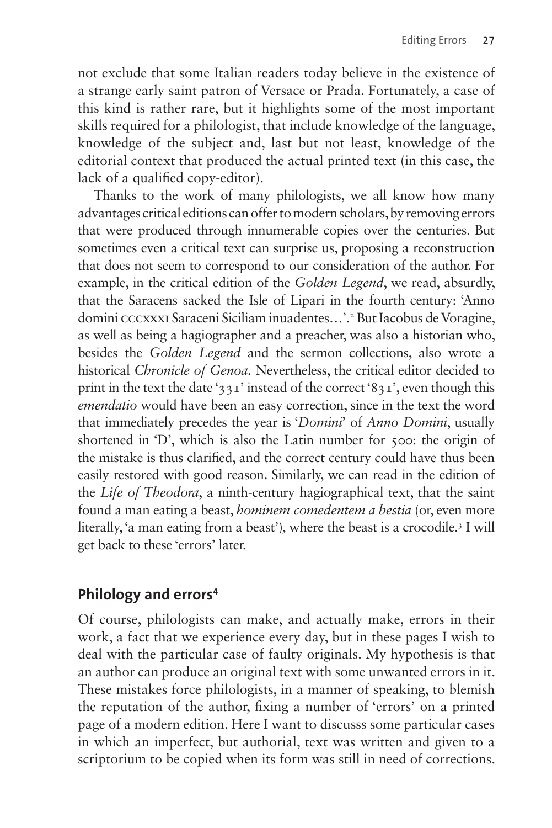not exclude that some Italian readers today believe in the existence of a strange early saint patron of Versace or Prada. Fortunately, a case of this kind is rather rare, but it highlights some of the most important skills required for a philologist, that include knowledge of the language, knowledge of the subject and, last but not least, knowledge of the editorial context that produced the actual printed text (in this case, the lack of a qualified copy-editor).

Thanks to the work of many philologists, we all know how many advantages critical editions can offer to modern scholars, by removing errors that were produced through innumerable copies over the centuries. But sometimes even a critical text can surprise us, proposing a reconstruction that does not seem to correspond to our consideration of the author. For example, in the critical edition of the *Golden Legend*, we read, absurdly, that the Saracens sacked the Isle of Lipari in the fourth century: 'Anno domini cccxxxi Saraceni Siciliam inuadentes…'[.2](#page-17-1) But Iacobus de Voragine, as well as being a hagiographer and a preacher, was also a historian who, besides the *Golden Legend* and the sermon collections, also wrote a historical *Chronicle of Genoa.* Nevertheless, the critical editor decided to print in the text the date '331' instead of the correct '831', even though this *emendatio* would have been an easy correction, since in the text the word that immediately precedes the year is '*Domini*' of *Anno Domini*, usually shortened in 'D', which is also the Latin number for 500: the origin of the mistake is thus clarified, and the correct century could have thus been easily restored with good reason. Similarly, we can read in the edition of the *Life of Theodora*, a ninth-century hagiographical text, that the saint found a man eating a beast, *hominem comedentem a bestia* (or, even more literally, 'a man eating from a beast')*,* where the beast is a crocodile[.3](#page-17-2) I will get back to these 'errors' later.

### **Philology and errors[4](#page-17-3)**

Of course, philologists can make, and actually make, errors in their work, a fact that we experience every day, but in these pages I wish to deal with the particular case of faulty originals. My hypothesis is that an author can produce an original text with some unwanted errors in it. These mistakes force philologists, in a manner of speaking, to blemish the reputation of the author, fixing a number of 'errors' on a printed page of a modern edition. Here I want to discusss some particular cases in which an imperfect, but authorial, text was written and given to a scriptorium to be copied when its form was still in need of corrections.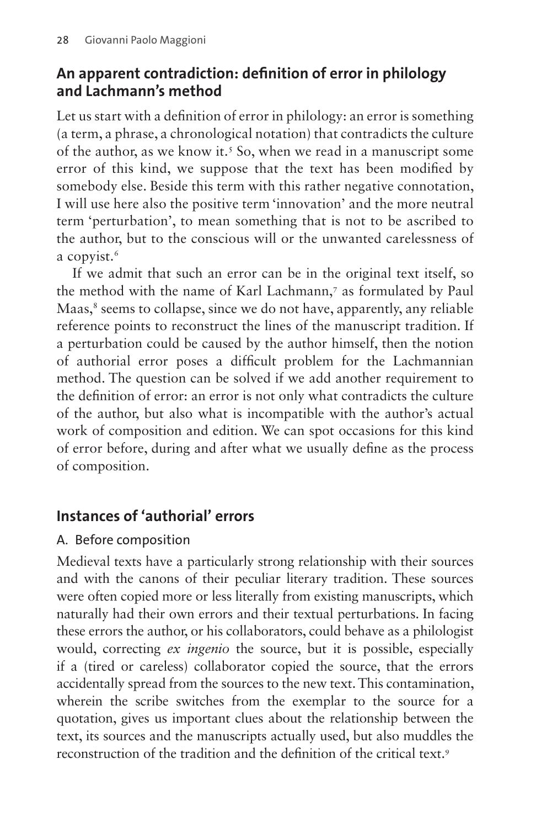# **An apparent contradiction: definition of error in philology and Lachmann's method**

Let us start with a definition of error in philology: an error is something (a term, a phrase, a chronological notation) that contradicts the culture of the author, as we know it.<sup>5</sup> So, when we read in a manuscript some error of this kind, we suppose that the text has been modified by somebody else. Beside this term with this rather negative connotation, I will use here also the positive term 'innovation' and the more neutral term 'perturbation', to mean something that is not to be ascribed to the author, but to the conscious will or the unwanted carelessness of a copyist.<sup>6</sup>

If we admit that such an error can be in the original text itself, so the method with the name of Karl Lachmann,<sup>[7](#page-17-6)</sup> as formulated by Paul Maas,<sup>[8](#page-17-7)</sup> seems to collapse, since we do not have, apparently, any reliable reference points to reconstruct the lines of the manuscript tradition. If a perturbation could be caused by the author himself, then the notion of authorial error poses a difficult problem for the Lachmannian method. The question can be solved if we add another requirement to the definition of error: an error is not only what contradicts the culture of the author, but also what is incompatible with the author's actual work of composition and edition. We can spot occasions for this kind of error before, during and after what we usually define as the process of composition.

# **Instances of 'authorial' errors**

### A. Before composition

Medieval texts have a particularly strong relationship with their sources and with the canons of their peculiar literary tradition. These sources were often copied more or less literally from existing manuscripts, which naturally had their own errors and their textual perturbations. In facing these errors the author, or his collaborators, could behave as a philologist would, correcting *ex ingenio* the source, but it is possible, especially if a (tired or careless) collaborator copied the source, that the errors accidentally spread from the sources to the new text. This contamination, wherein the scribe switches from the exemplar to the source for a quotation, gives us important clues about the relationship between the text, its sources and the manuscripts actually used, but also muddles the reconstruction of the tradition and the definition of the critical text[.9](#page-17-8)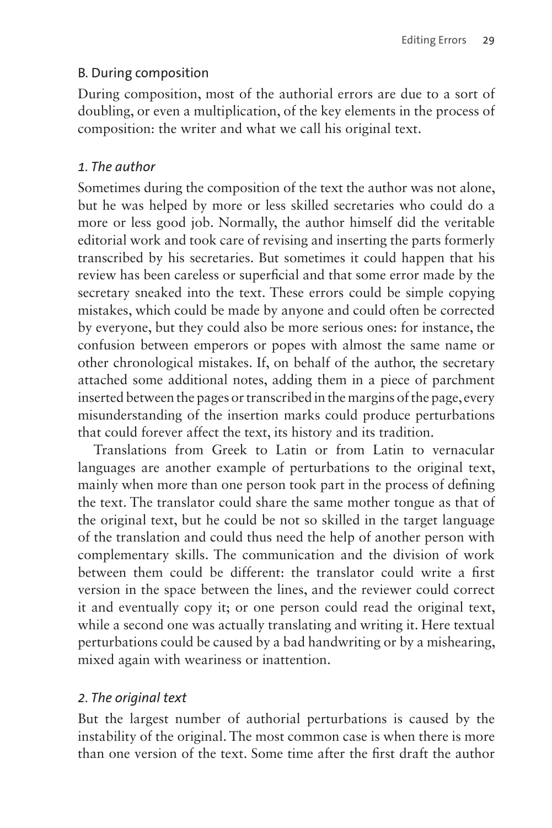### B. During composition

During composition, most of the authorial errors are due to a sort of doubling, or even a multiplication, of the key elements in the process of composition: the writer and what we call his original text.

#### *1. The author*

Sometimes during the composition of the text the author was not alone, but he was helped by more or less skilled secretaries who could do a more or less good job. Normally, the author himself did the veritable editorial work and took care of revising and inserting the parts formerly transcribed by his secretaries. But sometimes it could happen that his review has been careless or superficial and that some error made by the secretary sneaked into the text. These errors could be simple copying mistakes, which could be made by anyone and could often be corrected by everyone, but they could also be more serious ones: for instance, the confusion between emperors or popes with almost the same name or other chronological mistakes. If, on behalf of the author, the secretary attached some additional notes, adding them in a piece of parchment inserted between the pages or transcribed in the margins of the page, every misunderstanding of the insertion marks could produce perturbations that could forever affect the text, its history and its tradition.

Translations from Greek to Latin or from Latin to vernacular languages are another example of perturbations to the original text, mainly when more than one person took part in the process of defining the text. The translator could share the same mother tongue as that of the original text, but he could be not so skilled in the target language of the translation and could thus need the help of another person with complementary skills. The communication and the division of work between them could be different: the translator could write a first version in the space between the lines, and the reviewer could correct it and eventually copy it; or one person could read the original text, while a second one was actually translating and writing it. Here textual perturbations could be caused by a bad handwriting or by a mishearing, mixed again with weariness or inattention.

### *2. The original text*

But the largest number of authorial perturbations is caused by the instability of the original. The most common case is when there is more than one version of the text. Some time after the first draft the author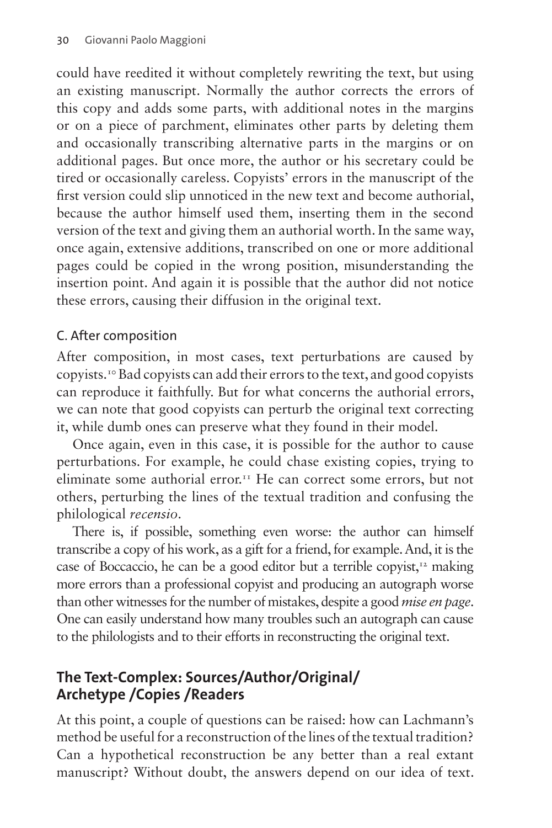could have reedited it without completely rewriting the text, but using an existing manuscript. Normally the author corrects the errors of this copy and adds some parts, with additional notes in the margins or on a piece of parchment, eliminates other parts by deleting them and occasionally transcribing alternative parts in the margins or on additional pages. But once more, the author or his secretary could be tired or occasionally careless. Copyists' errors in the manuscript of the first version could slip unnoticed in the new text and become authorial, because the author himself used them, inserting them in the second version of the text and giving them an authorial worth. In the same way, once again, extensive additions, transcribed on one or more additional pages could be copied in the wrong position, misunderstanding the insertion point. And again it is possible that the author did not notice these errors, causing their diffusion in the original text.

### C. After composition

After composition, in most cases, text perturbations are caused by copyists.[10](#page-18-0) Bad copyists can add their errors to the text, and good copyists can reproduce it faithfully. But for what concerns the authorial errors, we can note that good copyists can perturb the original text correcting it, while dumb ones can preserve what they found in their model.

Once again, even in this case, it is possible for the author to cause perturbations. For example, he could chase existing copies, trying to eliminate some authorial error.<sup>11</sup> He can correct some errors, but not others, perturbing the lines of the textual tradition and confusing the philological *recensio*.

There is, if possible, something even worse: the author can himself transcribe a copy of his work, as a gift for a friend, for example. And, it is the case of Boccaccio, he can be a good editor but a terrible copyist,<sup>12</sup> making more errors than a professional copyist and producing an autograph worse than other witnesses for the number of mistakes, despite a good *mise en page*. One can easily understand how many troubles such an autograph can cause to the philologists and to their efforts in reconstructing the original text.

### **The Text-Complex: Sources/Author/Original/ Archetype /Copies /Readers**

At this point, a couple of questions can be raised: how can Lachmann's method be useful for a reconstruction of the lines of the textual tradition? Can a hypothetical reconstruction be any better than a real extant manuscript? Without doubt, the answers depend on our idea of text.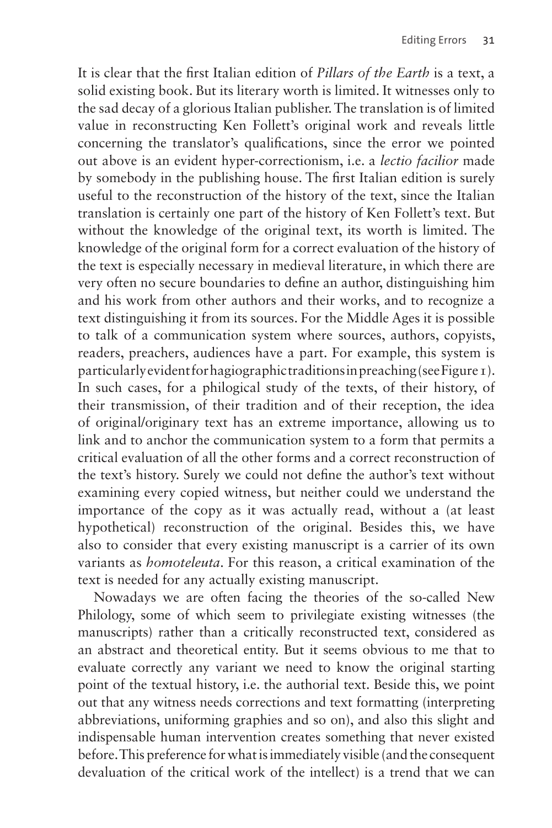It is clear that the first Italian edition of *Pillars of the Earth* is a text, a solid existing book. But its literary worth is limited. It witnesses only to the sad decay of a glorious Italian publisher. The translation is of limited value in reconstructing Ken Follett's original work and reveals little concerning the translator's qualifications, since the error we pointed out above is an evident hyper-correctionism, i.e. a *lectio facilior* made by somebody in the publishing house. The first Italian edition is surely useful to the reconstruction of the history of the text, since the Italian translation is certainly one part of the history of Ken Follett's text. But without the knowledge of the original text, its worth is limited. The knowledge of the original form for a correct evaluation of the history of the text is especially necessary in medieval literature, in which there are very often no secure boundaries to define an author, distinguishing him and his work from other authors and their works, and to recognize a text distinguishing it from its sources. For the Middle Ages it is possible to talk of a communication system where sources, authors, copyists, readers, preachers, audiences have a part. For example, this system is particularly evident for hagiographic traditions in preaching (see [Figure 1\)](#page-6-0). In such cases, for a philogical study of the texts, of their history, of their transmission, of their tradition and of their reception, the idea of original/originary text has an extreme importance, allowing us to link and to anchor the communication system to a form that permits a critical evaluation of all the other forms and a correct reconstruction of the text's history. Surely we could not define the author's text without examining every copied witness, but neither could we understand the importance of the copy as it was actually read, without a (at least hypothetical) reconstruction of the original. Besides this, we have also to consider that every existing manuscript is a carrier of its own variants as *homoteleuta*. For this reason, a critical examination of the text is needed for any actually existing manuscript.

Nowadays we are often facing the theories of the so-called New Philology, some of which seem to privilegiate existing witnesses (the manuscripts) rather than a critically reconstructed text, considered as an abstract and theoretical entity. But it seems obvious to me that to evaluate correctly any variant we need to know the original starting point of the textual history, i.e. the authorial text. Beside this, we point out that any witness needs corrections and text formatting (interpreting abbreviations, uniforming graphies and so on), and also this slight and indispensable human intervention creates something that never existed before. This preference for what is immediately visible (and the consequent devaluation of the critical work of the intellect) is a trend that we can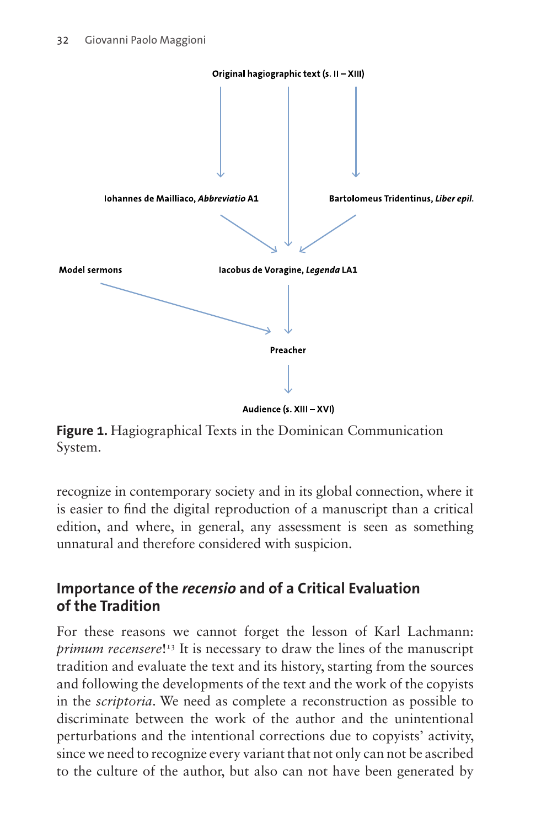

<span id="page-6-0"></span>**Figure 1.** Hagiographical Texts in the Dominican Communication System.

recognize in contemporary society and in its global connection, where it is easier to find the digital reproduction of a manuscript than a critical edition, and where, in general, any assessment is seen as something unnatural and therefore considered with suspicion.

### **Importance of the** *recensio* **and of a Critical Evaluation of the Tradition**

For these reasons we cannot forget the lesson of Karl Lachmann: *primum recensere*! [13](#page-18-3) It is necessary to draw the lines of the manuscript tradition and evaluate the text and its history, starting from the sources and following the developments of the text and the work of the copyists in the *scriptoria*. We need as complete a reconstruction as possible to discriminate between the work of the author and the unintentional perturbations and the intentional corrections due to copyists' activity, since we need to recognize every variant that not only can not be ascribed to the culture of the author, but also can not have been generated by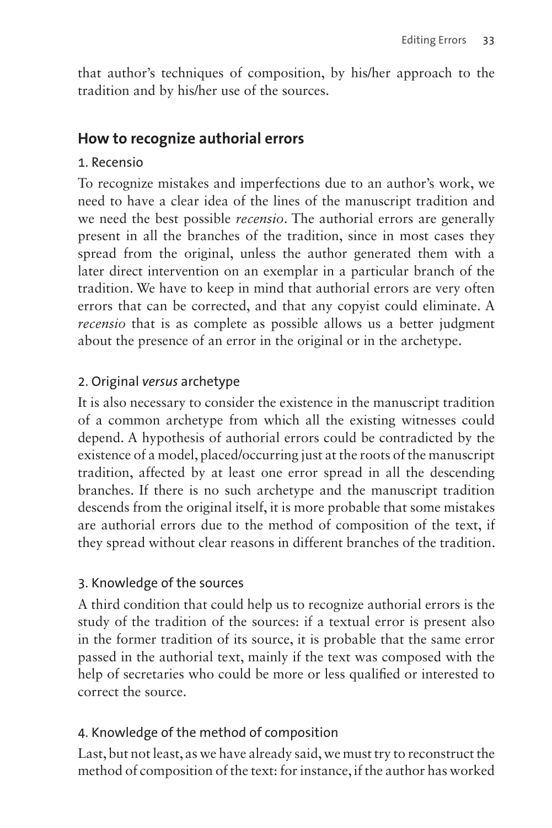that author's techniques of composition, by his/her approach to the tradition and by his/her use of the sources.

### **How to recognize authorial errors**

#### 1. Recensio

To recognize mistakes and imperfections due to an author's work, we need to have a clear idea of the lines of the manuscript tradition and we need the best possible *recensio*. The authorial errors are generally present in all the branches of the tradition, since in most cases they spread from the original, unless the author generated them with a later direct intervention on an exemplar in a particular branch of the tradition. We have to keep in mind that authorial errors are very often errors that can be corrected, and that any copyist could eliminate. A *recensio* that is as complete as possible allows us a better judgment about the presence of an error in the original or in the archetype.

### 2. Original *versus* archetype

It is also necessary to consider the existence in the manuscript tradition of a common archetype from which all the existing witnesses could depend. A hypothesis of authorial errors could be contradicted by the existence of a model, placed/occurring just at the roots of the manuscript tradition, affected by at least one error spread in all the descending branches. If there is no such archetype and the manuscript tradition descends from the original itself, it is more probable that some mistakes are authorial errors due to the method of composition of the text, if they spread without clear reasons in different branches of the tradition.

### 3. Knowledge of the sources

A third condition that could help us to recognize authorial errors is the study of the tradition of the sources: if a textual error is present also in the former tradition of its source, it is probable that the same error passed in the authorial text, mainly if the text was composed with the help of secretaries who could be more or less qualified or interested to correct the source.

### 4. Knowledge of the method of composition

Last, but not least, as we have already said, we must try to reconstruct the method of composition of the text: for instance, if the author has worked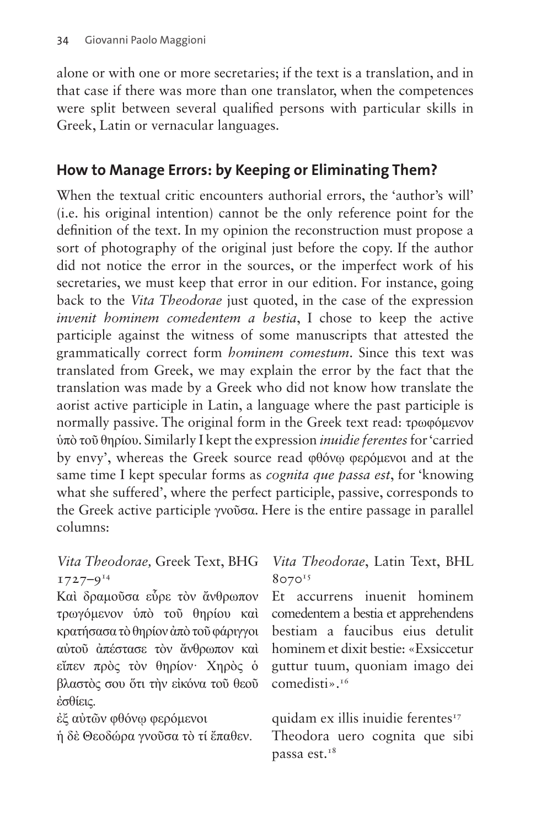alone or with one or more secretaries; if the text is a translation, and in that case if there was more than one translator, when the competences were split between several qualified persons with particular skills in Greek, Latin or vernacular languages.

# **How to Manage Errors: by Keeping or Eliminating Them?**

When the textual critic encounters authorial errors, the 'author's will' (i.e. his original intention) cannot be the only reference point for the definition of the text. In my opinion the reconstruction must propose a sort of photography of the original just before the copy. If the author did not notice the error in the sources, or the imperfect work of his secretaries, we must keep that error in our edition. For instance, going back to the *Vita Theodorae* just quoted, in the case of the expression *invenit hominem comedentem a bestia*, I chose to keep the active participle against the witness of some manuscripts that attested the grammatically correct form *hominem comestum*. Since this text was translated from Greek, we may explain the error by the fact that the translation was made by a Greek who did not know how translate the aorist active participle in Latin, a language where the past participle is normally passive. The original form in the Greek text read: τρωφόμενον ὑπὸ τοῦ θηρίου. Similarly I kept the expression *inuidie ferentes* for 'carried by envy', whereas the Greek source read φθόνῳ φερόμενοι and at the same time I kept specular forms as *cognita que passa est*, for 'knowing what she suffered', where the perfect participle, passive, corresponds to the Greek active participle γνοῦσα. Here is the entire passage in parallel columns:

### *Vita Theodorae,* Greek Text, BHG  $1727 - 9^{14}$

Καὶ δραμοῦσα εὗρε τὸν ἄνθρωπον τρωγόμενον ὑπὸ τοῦ θηρίου καὶ κρατήσασα τὸ θηρίον ἀπὸ τοῦ φάριγγοι αὐτοῦ ἀπέστασε τὸν ἄνθρωπον καὶ εἴπεν πρὸς τὸν θηρίον· Χηρὸς ὁ βλαστὸς σου ὅτι τὴν εἰκόνα τοῦ θεοῦ ἐσθίεις.

#### *Vita Theodorae*, Latin Text, BHL 807[015](#page-18-5)

Et accurrens inuenit hominem comedentem a bestia et apprehendens bestiam a faucibus eius detulit hominem et dixit bestie: «Exsiccetur guttur tuum, quoniam imago dei comedisti».<sup>16</sup>

ἐξ αὐτῶν φθόνῳ φερόμενοι quidam ex illis inuidie ferentes[17](#page-18-7) ἡ δὲ Θεοδώρα γνοῦσα τὸ τί ἔπαθεν. Theodora uero cognita que sibi passa est.<sup>[18](#page-18-8)</sup>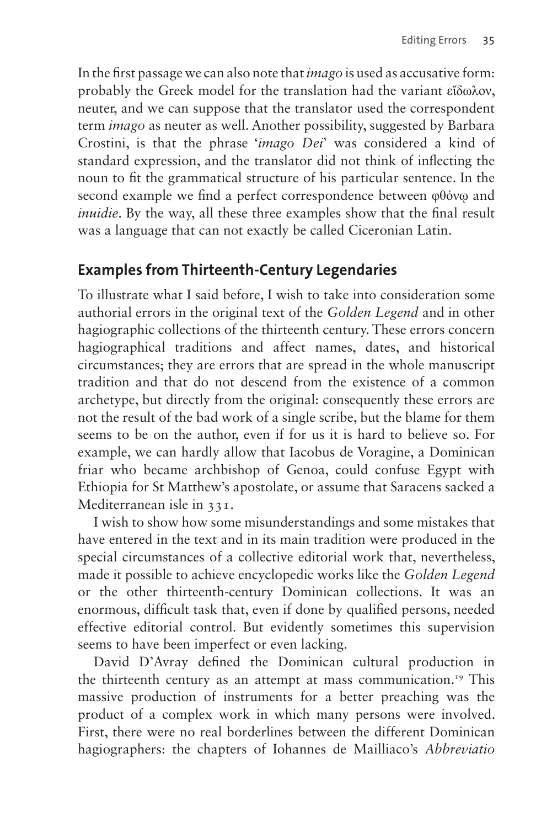In the first passage we can also note that *imago* is used as accusative form: probably the Greek model for the translation had the variant εἴδωλον, neuter, and we can suppose that the translator used the correspondent term *imago* as neuter as well. Another possibility, suggested by Barbara Crostini, is that the phrase '*imago Dei*' was considered a kind of standard expression, and the translator did not think of inflecting the noun to fit the grammatical structure of his particular sentence. In the second example we find a perfect correspondence between φθόνῳ and *inuidie*. By the way, all these three examples show that the final result was a language that can not exactly be called Ciceronian Latin.

### **Examples from Thirteenth-Century Legendaries**

To illustrate what I said before, I wish to take into consideration some authorial errors in the original text of the *Golden Legend* and in other hagiographic collections of the thirteenth century. These errors concern hagiographical traditions and affect names, dates, and historical circumstances; they are errors that are spread in the whole manuscript tradition and that do not descend from the existence of a common archetype, but directly from the original: consequently these errors are not the result of the bad work of a single scribe, but the blame for them seems to be on the author, even if for us it is hard to believe so. For example, we can hardly allow that Iacobus de Voragine, a Dominican friar who became archbishop of Genoa, could confuse Egypt with Ethiopia for St Matthew's apostolate, or assume that Saracens sacked a Mediterranean isle in 331.

I wish to show how some misunderstandings and some mistakes that have entered in the text and in its main tradition were produced in the special circumstances of a collective editorial work that, nevertheless, made it possible to achieve encyclopedic works like the *Golden Legend*  or the other thirteenth-century Dominican collections. It was an enormous, difficult task that, even if done by qualified persons, needed effective editorial control. But evidently sometimes this supervision seems to have been imperfect or even lacking.

David D'Avray defined the Dominican cultural production in the thirteenth century as an attempt at mass communication.<sup>19</sup> This massive production of instruments for a better preaching was the product of a complex work in which many persons were involved. First, there were no real borderlines between the different Dominican hagiographers: the chapters of Iohannes de Mailliaco's *Abbreviatio*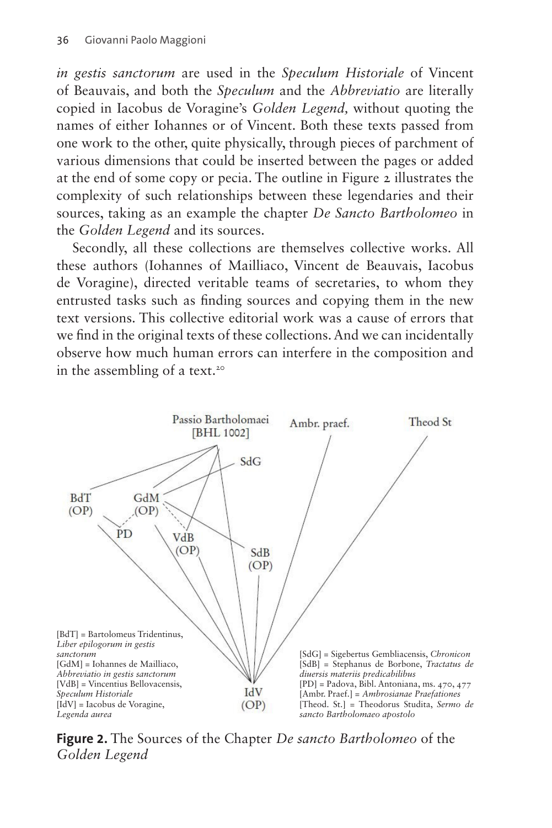*in gestis sanctorum* are used in the *Speculum Historiale* of Vincent of Beauvais, and both the *Speculum* and the *Abbreviatio* are literally copied in Iacobus de Voragine's *Golden Legend,* without quoting the names of either Iohannes or of Vincent. Both these texts passed from one work to the other, quite physically, through pieces of parchment of various dimensions that could be inserted between the pages or added at the end of some copy or pecia. The outline in [Figure 2](#page-10-0) illustrates the complexity of such relationships between these legendaries and their sources, taking as an example the chapter *De Sancto Bartholomeo* in the *Golden Legend* and its sources.

Secondly, all these collections are themselves collective works. All these authors (Iohannes of Mailliaco, Vincent de Beauvais, Iacobus de Voragine), directed veritable teams of secretaries, to whom they entrusted tasks such as finding sources and copying them in the new text versions. This collective editorial work was a cause of errors that we find in the original texts of these collections. And we can incidentally observe how much human errors can interfere in the composition and in the assembling of a text.<sup>20</sup>



<span id="page-10-0"></span>**Figure 2.** The Sources of the Chapter *De sancto Bartholomeo* of the *Golden Legend*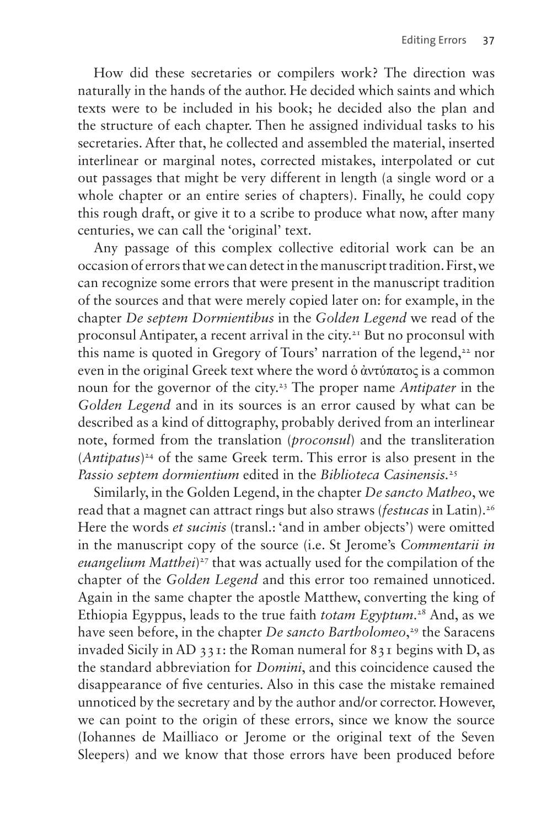How did these secretaries or compilers work? The direction was naturally in the hands of the author. He decided which saints and which texts were to be included in his book; he decided also the plan and the structure of each chapter. Then he assigned individual tasks to his secretaries. After that, he collected and assembled the material, inserted interlinear or marginal notes, corrected mistakes, interpolated or cut out passages that might be very different in length (a single word or a whole chapter or an entire series of chapters). Finally, he could copy this rough draft, or give it to a scribe to produce what now, after many centuries, we can call the 'original' text.

Any passage of this complex collective editorial work can be an occasion of errors that we can detect in the manuscript tradition. First, we can recognize some errors that were present in the manuscript tradition of the sources and that were merely copied later on: for example, in the chapter *De septem Dormientibus* in the *Golden Legend* we read of the proconsul Antipater, a recent arrival in the city.<sup>21</sup> But no proconsul with this name is quoted in Gregory of Tours' narration of the legend, $22$  nor even in the original Greek text where the word ὁ ἀντύπατος is a common noun for the governor of the city.[23](#page-19-0) The proper name *Antipater* in the *Golden Legend* and in its sources is an error caused by what can be described as a kind of dittography, probably derived from an interlinear note, formed from the translation (*proconsul*) and the transliteration (*Antipatus*) [24](#page-19-1) of the same Greek term. This error is also present in the *Passio septem dormientium* edited in the *Biblioteca Casinensis.*[25](#page-19-2)

Similarly, in the Golden Legend, in the chapter *De sancto Matheo*, we read that a magnet can attract rings but also straws (*festucas* in Latin).[26](#page-19-3) Here the words *et sucinis* (transl.: 'and in amber objects') were omitted in the manuscript copy of the source (i.e. St Jerome's *Commentarii in euangelium Matthei*) [27](#page-19-4) that was actually used for the compilation of the chapter of the *Golden Legend* and this error too remained unnoticed. Again in the same chapter the apostle Matthew, converting the king of Ethiopia Egyppus, leads to the true faith *totam Egyptum*. [28](#page-19-5) And, as we have seen before, in the chapter *De sancto Bartholomeo*, [29](#page-19-6) the Saracens invaded Sicily in AD  $33I$ : the Roman numeral for  $83I$  begins with D, as the standard abbreviation for *Domini*, and this coincidence caused the disappearance of five centuries. Also in this case the mistake remained unnoticed by the secretary and by the author and/or corrector. However, we can point to the origin of these errors, since we know the source (Iohannes de Mailliaco or Jerome or the original text of the Seven Sleepers) and we know that those errors have been produced before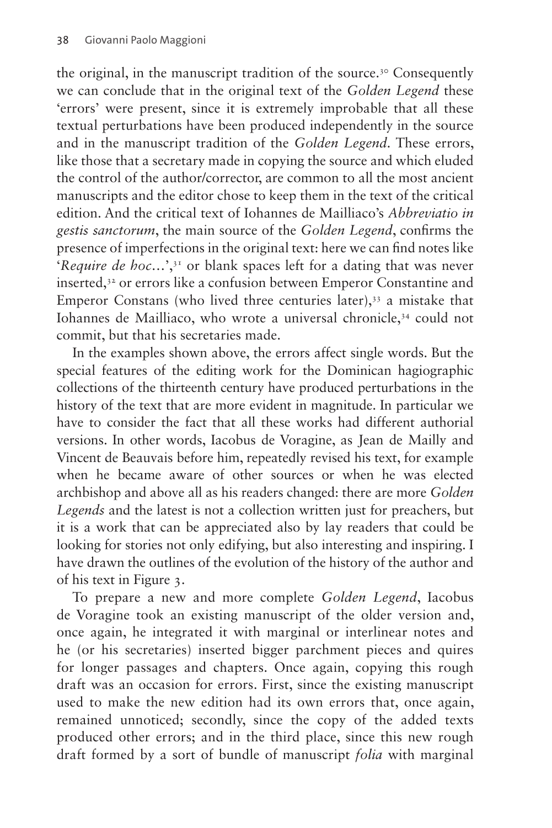the original, in the manuscript tradition of the source.<sup>30</sup> Consequently we can conclude that in the original text of the *Golden Legend* these 'errors' were present, since it is extremely improbable that all these textual perturbations have been produced independently in the source and in the manuscript tradition of the *Golden Legend.* These errors, like those that a secretary made in copying the source and which eluded the control of the author/corrector, are common to all the most ancient manuscripts and the editor chose to keep them in the text of the critical edition. And the critical text of Iohannes de Mailliaco's *Abbreviatio in gestis sanctorum*, the main source of the *Golden Legend*, confirms the presence of imperfections in the original text: here we can find notes like '*Require de hoc…*',[31](#page-19-8) or blank spaces left for a dating that was never inserted,[32](#page-19-9) or errors like a confusion between Emperor Constantine and Emperor Constans (who lived three centuries later), $33$  a mistake that Iohannes de Mailliaco, who wrote a universal chronicle,<sup>34</sup> could not commit, but that his secretaries made.

In the examples shown above, the errors affect single words. But the special features of the editing work for the Dominican hagiographic collections of the thirteenth century have produced perturbations in the history of the text that are more evident in magnitude. In particular we have to consider the fact that all these works had different authorial versions. In other words, Iacobus de Voragine, as Jean de Mailly and Vincent de Beauvais before him, repeatedly revised his text, for example when he became aware of other sources or when he was elected archbishop and above all as his readers changed: there are more *Golden Legends* and the latest is not a collection written just for preachers, but it is a work that can be appreciated also by lay readers that could be looking for stories not only edifying, but also interesting and inspiring. I have drawn the outlines of the evolution of the history of the author and of his text in [Figure 3](#page-13-0).

To prepare a new and more complete *Golden Legend*, Iacobus de Voragine took an existing manuscript of the older version and, once again, he integrated it with marginal or interlinear notes and he (or his secretaries) inserted bigger parchment pieces and quires for longer passages and chapters. Once again, copying this rough draft was an occasion for errors. First, since the existing manuscript used to make the new edition had its own errors that, once again, remained unnoticed; secondly, since the copy of the added texts produced other errors; and in the third place, since this new rough draft formed by a sort of bundle of manuscript *folia* with marginal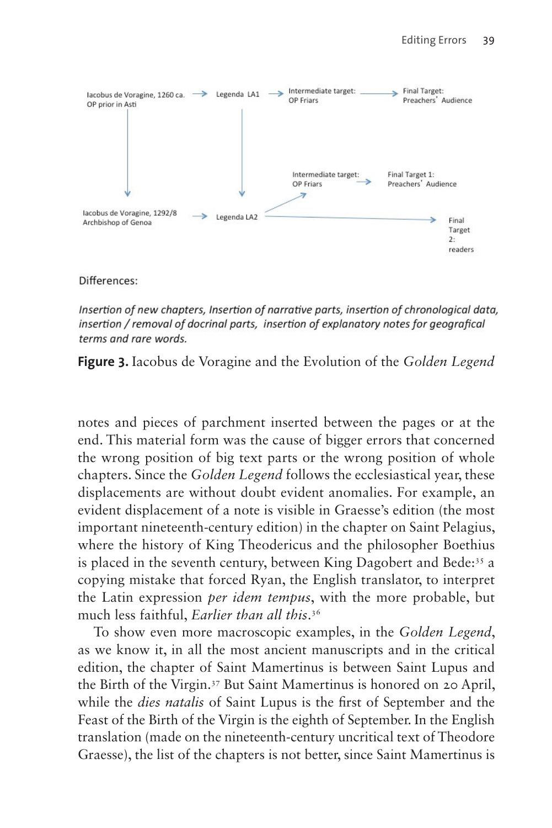

Differences:

Insertion of new chapters, Insertion of narrative parts, insertion of chronological data, insertion / removal of docrinal parts, insertion of explanatory notes for geografical terms and rare words.

<span id="page-13-0"></span>**Figure 3.** Iacobus de Voragine and the Evolution of the *Golden Legend*

notes and pieces of parchment inserted between the pages or at the end. This material form was the cause of bigger errors that concerned the wrong position of big text parts or the wrong position of whole chapters. Since the *Golden Legend* follows the ecclesiastical year, these displacements are without doubt evident anomalies. For example, an evident displacement of a note is visible in Graesse's edition (the most important nineteenth-century edition) in the chapter on Saint Pelagius, where the history of King Theodericus and the philosopher Boethius is placed in the seventh century, between King Dagobert and Bede:<sup>[35](#page-19-12)</sup> a copying mistake that forced Ryan, the English translator, to interpret the Latin expression *per idem tempus*, with the more probable, but much less faithful, *Earlier than all this*. [36](#page-19-13)

To show even more macroscopic examples, in the *Golden Legend*, as we know it, in all the most ancient manuscripts and in the critical edition, the chapter of Saint Mamertinus is between Saint Lupus and the Birth of the Virgin[.37](#page-19-14) But Saint Mamertinus is honored on 20 April, while the *dies natalis* of Saint Lupus is the first of September and the Feast of the Birth of the Virgin is the eighth of September. In the English translation (made on the nineteenth-century uncritical text of Theodore Graesse), the list of the chapters is not better, since Saint Mamertinus is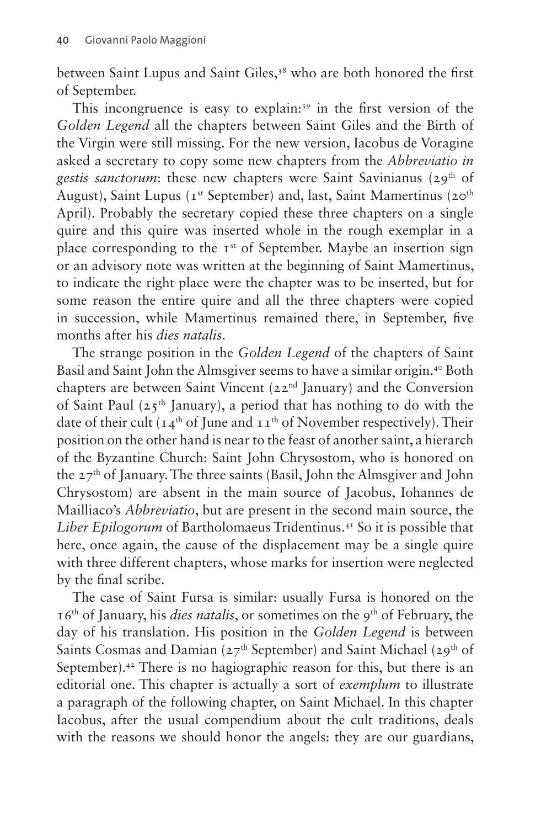between Saint Lupus and Saint Giles,<sup>38</sup> who are both honored the first of September.

This incongruence is easy to explain:[39](#page-20-1) in the first version of the *Golden Legend* all the chapters between Saint Giles and the Birth of the Virgin were still missing. For the new version, Iacobus de Voragine asked a secretary to copy some new chapters from the *Abbreviatio in gestis sanctorum*: these new chapters were Saint Savinianus (29<sup>th</sup> of August), Saint Lupus (1st September) and, last, Saint Mamertinus (20<sup>th</sup> April). Probably the secretary copied these three chapters on a single quire and this quire was inserted whole in the rough exemplar in a place corresponding to the 1<sup>st</sup> of September. Maybe an insertion sign or an advisory note was written at the beginning of Saint Mamertinus, to indicate the right place were the chapter was to be inserted, but for some reason the entire quire and all the three chapters were copied in succession, while Mamertinus remained there, in September, five months after his *dies natalis*.

The strange position in the *Golden Legend* of the chapters of Saint Basil and Saint John the Almsgiver seems to have a similar origin.[40](#page-20-2) Both chapters are between Saint Vincent ( $22<sup>nd</sup>$  January) and the Conversion of Saint Paul  $(25<sup>th</sup>)$  January), a period that has nothing to do with the date of their cult ( $I_4$ <sup>th</sup> of June and  $I_1$ <sup>th</sup> of November respectively). Their position on the other hand is near to the feast of another saint, a hierarch of the Byzantine Church: Saint John Chrysostom, who is honored on the  $27<sup>th</sup>$  of January. The three saints (Basil, John the Almsgiver and John Chrysostom) are absent in the main source of Jacobus, Iohannes de Mailliaco's *Abbreviatio*, but are present in the second main source, the *Liber Epilogorum* of Bartholomaeus Tridentinus.[41](#page-20-3) So it is possible that here, once again, the cause of the displacement may be a single quire with three different chapters, whose marks for insertion were neglected by the final scribe.

The case of Saint Fursa is similar: usually Fursa is honored on the 16th of January, his *dies natalis*, or sometimes on the 9th of February, the day of his translation. His position in the *Golden Legend* is between Saints Cosmas and Damian ( $27<sup>th</sup>$  September) and Saint Michael ( $29<sup>th</sup>$  of September).<sup>42</sup> There is no hagiographic reason for this, but there is an editorial one. This chapter is actually a sort of *exemplum* to illustrate a paragraph of the following chapter, on Saint Michael. In this chapter Iacobus, after the usual compendium about the cult traditions, deals with the reasons we should honor the angels: they are our guardians,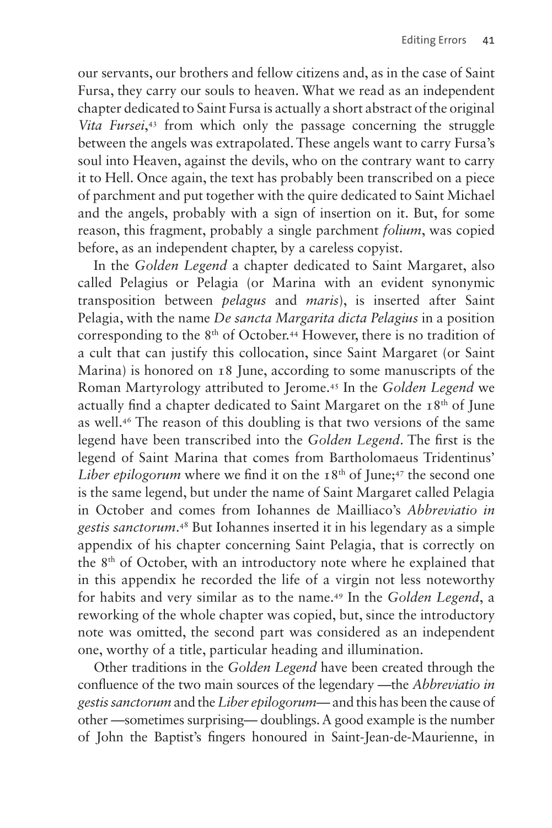our servants, our brothers and fellow citizens and, as in the case of Saint Fursa, they carry our souls to heaven. What we read as an independent chapter dedicated to Saint Fursa is actually a short abstract of the original *Vita Fursei*<sup>[43](#page-20-5)</sup> from which only the passage concerning the struggle between the angels was extrapolated. These angels want to carry Fursa's soul into Heaven, against the devils, who on the contrary want to carry it to Hell. Once again, the text has probably been transcribed on a piece of parchment and put together with the quire dedicated to Saint Michael and the angels, probably with a sign of insertion on it. But, for some reason, this fragment, probably a single parchment *folium*, was copied before, as an independent chapter, by a careless copyist.

In the *Golden Legend* a chapter dedicated to Saint Margaret, also called Pelagius or Pelagia (or Marina with an evident synonymic transposition between *pelagus* and *maris*), is inserted after Saint Pelagia, with the name *De sancta Margarita dicta Pelagius* in a position corresponding to the 8<sup>th</sup> of October.<sup>44</sup> However, there is no tradition of a cult that can justify this collocation, since Saint Margaret (or Saint Marina) is honored on 18 June, according to some manuscripts of the Roman Martyrology attributed to Jerome.[45](#page-20-7) In the *Golden Legend* we actually find a chapter dedicated to Saint Margaret on the 18th of June as well[.46](#page-20-8) The reason of this doubling is that two versions of the same legend have been transcribed into the *Golden Legend*. The first is the legend of Saint Marina that comes from Bartholomaeus Tridentinus' *Liber epilogorum* where we find it on the  $18<sup>th</sup>$  of June;<sup>47</sup> the second one is the same legend, but under the name of Saint Margaret called Pelagia in October and comes from Iohannes de Mailliaco's *Abbreviatio in gestis sanctorum*. [48](#page-20-10) But Iohannes inserted it in his legendary as a simple appendix of his chapter concerning Saint Pelagia, that is correctly on the 8th of October, with an introductory note where he explained that in this appendix he recorded the life of a virgin not less noteworthy for habits and very similar as to the name.[49](#page-20-11) In the *Golden Legend*, a reworking of the whole chapter was copied, but, since the introductory note was omitted, the second part was considered as an independent one, worthy of a title, particular heading and illumination.

Other traditions in the *Golden Legend* have been created through the confluence of the two main sources of the legendary —the *Abbreviatio in gestis sanctorum* and the *Liber epilogorum*—and this has been the cause of other —sometimes surprising— doublings. A good example is the number of John the Baptist's fingers honoured in Saint-Jean-de-Maurienne, in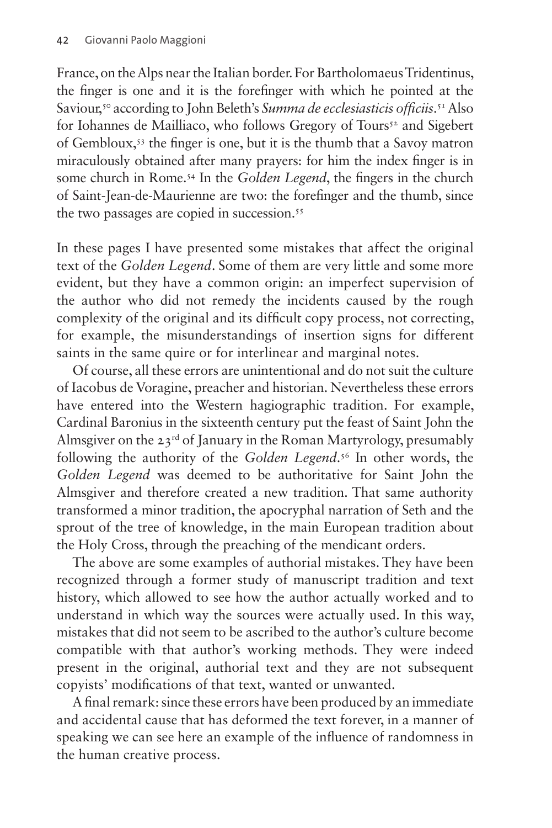France, on the Alps near the Italian border. For Bartholomaeus Tridentinus, the finger is one and it is the forefinger with which he pointed at the Saviour,<sup>50</sup> according to John Beleth's Summa de ecclesiasticis officiis.<sup>[51](#page-20-13)</sup> Also for Iohannes de Mailliaco, who follows Gregory of Tours<sup>52</sup> and Sigebert of Gembloux[,53](#page-20-15) the finger is one, but it is the thumb that a Savoy matron miraculously obtained after many prayers: for him the index finger is in some church in Rome.[54](#page-20-16) In the *Golden Legend*, the fingers in the church of Saint-Jean-de-Maurienne are two: the forefinger and the thumb, since the two passages are copied in succession.<sup>[55](#page-21-0)</sup>

In these pages I have presented some mistakes that affect the original text of the *Golden Legend*. Some of them are very little and some more evident, but they have a common origin: an imperfect supervision of the author who did not remedy the incidents caused by the rough complexity of the original and its difficult copy process, not correcting, for example, the misunderstandings of insertion signs for different saints in the same quire or for interlinear and marginal notes.

Of course, all these errors are unintentional and do not suit the culture of Iacobus de Voragine, preacher and historian. Nevertheless these errors have entered into the Western hagiographic tradition. For example, Cardinal Baronius in the sixteenth century put the feast of Saint John the Almsgiver on the  $23^{rd}$  of January in the Roman Martyrology, presumably following the authority of the *Golden Legend*. [56](#page-21-1) In other words, the *Golden Legend* was deemed to be authoritative for Saint John the Almsgiver and therefore created a new tradition. That same authority transformed a minor tradition, the apocryphal narration of Seth and the sprout of the tree of knowledge, in the main European tradition about the Holy Cross, through the preaching of the mendicant orders.

The above are some examples of authorial mistakes. They have been recognized through a former study of manuscript tradition and text history, which allowed to see how the author actually worked and to understand in which way the sources were actually used. In this way, mistakes that did not seem to be ascribed to the author's culture become compatible with that author's working methods. They were indeed present in the original, authorial text and they are not subsequent copyists' modifications of that text, wanted or unwanted.

A final remark: since these errors have been produced by an immediate and accidental cause that has deformed the text forever, in a manner of speaking we can see here an example of the influence of randomness in the human creative process.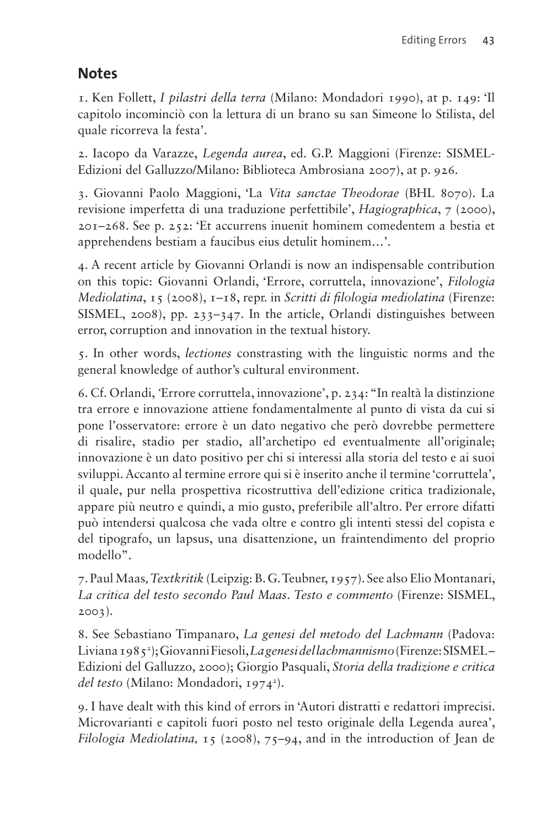# **Notes**

<span id="page-17-0"></span>1. Ken Follett, *I pilastri della terra* (Milano: Mondadori 1990), at p. 149: 'Il capitolo incominciò con la lettura di un brano su san Simeone lo Stilista, del quale ricorreva la festa'.

<span id="page-17-1"></span>2. Iacopo da Varazze, *Legenda aurea*, ed. G.P. Maggioni (Firenze: SISMEL-Edizioni del Galluzzo/Milano: Biblioteca Ambrosiana 2007), at p. 926.

<span id="page-17-2"></span>3. Giovanni Paolo Maggioni, 'La *Vita sanctae Theodorae* (BHL 8070). La revisione imperfetta di una traduzione perfettibile', *Hagiographica*, 7 (2000), 201–268. See p. 252: 'Et accurrens inuenit hominem comedentem a bestia et apprehendens bestiam a faucibus eius detulit hominem…'.

<span id="page-17-3"></span>4. A recent article by Giovanni Orlandi is now an indispensable contribution on this topic: Giovanni Orlandi, 'Errore, corruttela, innovazione', *Filologia Mediolatina*, 15 (2008), 1–18, repr. in *Scritti di filologia mediolatina* (Firenze: SISMEL, 2008), pp. 233–347. In the article, Orlandi distinguishes between error, corruption and innovation in the textual history.

<span id="page-17-4"></span>5. In other words, *lectiones* constrasting with the linguistic norms and the general knowledge of author's cultural environment.

<span id="page-17-5"></span>6. Cf. Orlandi, *'*Errore corruttela, innovazione', p. 234: "In realtà la distinzione tra errore e innovazione attiene fondamentalmente al punto di vista da cui si pone l'osservatore: errore è un dato negativo che però dovrebbe permettere di risalire, stadio per stadio, all'archetipo ed eventualmente all'originale; innovazione è un dato positivo per chi si interessi alla storia del testo e ai suoi sviluppi. Accanto al termine errore qui si è inserito anche il termine 'corruttela', il quale, pur nella prospettiva ricostruttiva dell'edizione critica tradizionale, appare più neutro e quindi, a mio gusto, preferibile all'altro. Per errore difatti può intendersi qualcosa che vada oltre e contro gli intenti stessi del copista e del tipografo, un lapsus, una disattenzione, un fraintendimento del proprio modello".

<span id="page-17-6"></span>7. Paul Maas*, Textkritik* (Leipzig: B. G. Teubner, 1957). See also Elio Montanari, *La critica del testo secondo Paul Maas*. *Testo e commento* (Firenze: SISMEL, 2003).

<span id="page-17-7"></span>8. See Sebastiano Timpanaro, *La genesi del metodo del Lachmann* (Padova: Liviana 19852 ); Giovanni Fiesoli, *La genesi del lachmannismo* (Firenze: SISMEL – Edizioni del Galluzzo, 2000); Giorgio Pasquali, *Storia della tradizione e critica*  del testo (Milano: Mondadori, 1974<sup>2</sup>).

<span id="page-17-8"></span>9. I have dealt with this kind of errors in 'Autori distratti e redattori imprecisi. Microvarianti e capitoli fuori posto nel testo originale della Legenda aurea', *Filologia Mediolatina,* 15 (2008), 75–94, and in the introduction of Jean de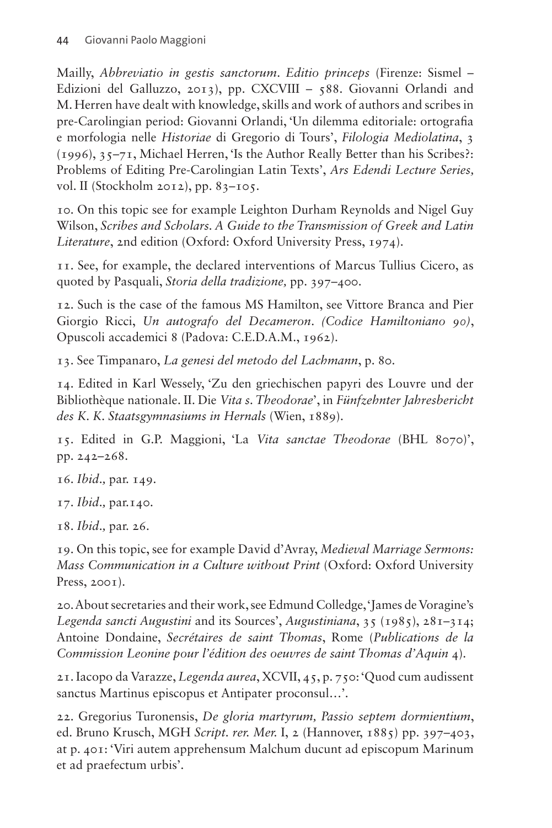Mailly, *Abbreviatio in gestis sanctorum*. *Editio princeps* (Firenze: Sismel – Edizioni del Galluzzo, 2013), pp. CXCVIII – 588. Giovanni Orlandi and M. Herren have dealt with knowledge, skills and work of authors and scribes in pre-Carolingian period: Giovanni Orlandi, 'Un dilemma editoriale: ortografia e morfologia nelle *Historiae* di Gregorio di Tours', *Filologia Mediolatina*, 3 (1996), 35–71, Michael Herren, 'Is the Author Really Better than his Scribes?: Problems of Editing Pre-Carolingian Latin Texts', *Ars Edendi Lecture Series,*  vol. II (Stockholm 2012), pp. 83–105.

<span id="page-18-0"></span>10. On this topic see for example Leighton Durham Reynolds and Nigel Guy Wilson, *Scribes and Scholars. A Guide to the Transmission of Greek and Latin Literature*, 2nd edition (Oxford: Oxford University Press, 1974).

<span id="page-18-1"></span>11. See, for example, the declared interventions of Marcus Tullius Cicero, as quoted by Pasquali, *Storia della tradizione,* pp. 397–400.

<span id="page-18-2"></span>12. Such is the case of the famous MS Hamilton, see Vittore Branca and Pier Giorgio Ricci, *Un autografo del Decameron*. *(Codice Hamiltoniano 90)*, Opuscoli accademici 8 (Padova: C.E.D.A.M., 1962).

<span id="page-18-3"></span>13. See Timpanaro, *La genesi del metodo del Lachmann*, p. 80.

<span id="page-18-4"></span>14. Edited in Karl Wessely, 'Zu den griechischen papyri des Louvre und der Bibliothèque nationale. II. Die *Vita s. Theodorae*', in *Fünfzehnter Jahresbericht des K. K. Staatsgymnasiums in Hernals* (Wien, 1889).

<span id="page-18-5"></span>15. Edited in G.P. Maggioni, 'La *Vita sanctae Theodorae* (BHL 8070)', pp. 242–268.

<span id="page-18-6"></span>16. *Ibid*.*,* par. 149.

<span id="page-18-7"></span>17. *Ibid*.*,* par.140.

<span id="page-18-8"></span>18. *Ibid*.*,* par. 26.

<span id="page-18-9"></span>19. On this topic, see for example David d'Avray, *Medieval Marriage Sermons: Mass Communication in a Culture without Print* (Oxford: Oxford University Press, 2001).

<span id="page-18-10"></span>20. About secretaries and their work, see Edmund Colledge, 'James de Voragine's *Legenda sancti Augustini* and its Sources', *Augustiniana*, 35 (1985), 281–314; Antoine Dondaine, *Secrétaires de saint Thomas*, Rome (*Publications de la Commission Leonine pour l'édition des oeuvres de saint Thomas d'Aquin* 4).

<span id="page-18-11"></span>21. Iacopo da Varazze, *Legenda aurea*, XCVII, 45, p. 750: 'Quod cum audissent sanctus Martinus episcopus et Antipater proconsul…'.

<span id="page-18-12"></span>22. Gregorius Turonensis, *De gloria martyrum, Passio septem dormientium*, ed. Bruno Krusch, MGH *Script. rer. Mer.* I, 2 (Hannover, 1885) pp. 397–403, at p. 401: 'Viri autem apprehensum Malchum ducunt ad episcopum Marinum et ad praefectum urbis'.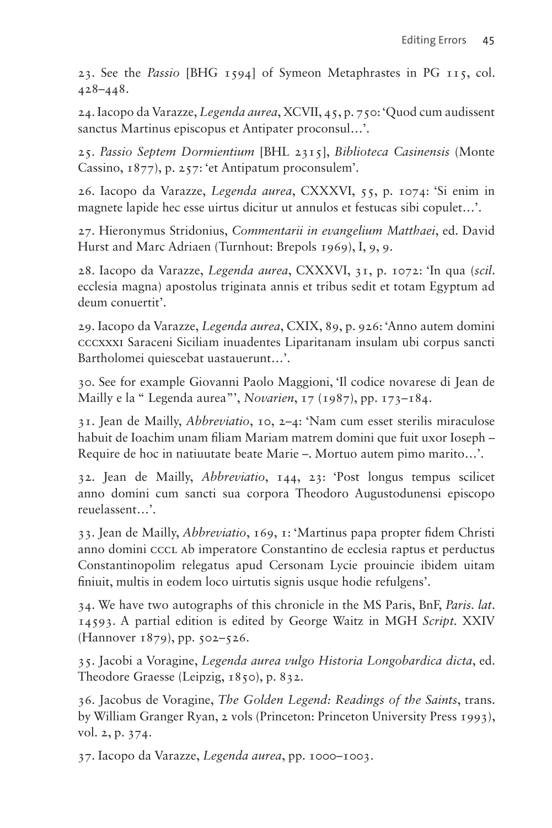<span id="page-19-0"></span>23. See the *Passio* [BHG 1594] of Symeon Metaphrastes in PG 115, col. 428–448.

<span id="page-19-1"></span>24. Iacopo da Varazze, *Legenda aurea*, XCVII, 45, p. 750: 'Quod cum audissent sanctus Martinus episcopus et Antipater proconsul…'.

<span id="page-19-2"></span>25. *Passio Septem Dormientium* [BHL 2315], *Biblioteca Casinensis* (Monte Cassino, 1877), p. 257: 'et Antipatum proconsulem'.

<span id="page-19-3"></span>26. Iacopo da Varazze, *Legenda aurea*, CXXXVI, 55, p. 1074: 'Si enim in magnete lapide hec esse uirtus dicitur ut annulos et festucas sibi copulet…'.

<span id="page-19-4"></span>27. Hieronymus Stridonius, *Commentarii in evangelium Matthaei*, ed. David Hurst and Marc Adriaen (Turnhout: Brepols 1969), I, 9, 9.

<span id="page-19-5"></span>28. Iacopo da Varazze, *Legenda aurea*, CXXXVI, 31, p. 1072: 'In qua (*scil*. ecclesia magna) apostolus triginata annis et tribus sedit et totam Egyptum ad deum conuertit'.

<span id="page-19-6"></span>29. Iacopo da Varazze, *Legenda aurea*, CXIX, 89, p. 926: 'Anno autem domini cccxxxi Saraceni Siciliam inuadentes Liparitanam insulam ubi corpus sancti Bartholomei quiescebat uastauerunt…'.

<span id="page-19-7"></span>30. See for example Giovanni Paolo Maggioni, 'Il codice novarese di Jean de Mailly e la " Legenda aurea"', *Novarien*, 17 (1987), pp. 173–184.

<span id="page-19-8"></span>31. Jean de Mailly, *Abbreviatio*, 10, 2–4: 'Nam cum esset sterilis miraculose habuit de Ioachim unam filiam Mariam matrem domini que fuit uxor Ioseph – Require de hoc in natiuutate beate Marie –. Mortuo autem pimo marito…'.

<span id="page-19-9"></span>32. Jean de Mailly, *Abbreviatio*, 144, 23: 'Post longus tempus scilicet anno domini cum sancti sua corpora Theodoro Augustodunensi episcopo reuelassent…'.

<span id="page-19-10"></span>33. Jean de Mailly, *Abbreviatio*, 169, 1: 'Martinus papa propter fidem Christi anno domini cccl ab imperatore Constantino de ecclesia raptus et perductus Constantinopolim relegatus apud Cersonam Lycie prouincie ibidem uitam finiuit, multis in eodem loco uirtutis signis usque hodie refulgens'.

<span id="page-19-11"></span>34. We have two autographs of this chronicle in the MS Paris, BnF, *Paris. lat*. 14593. A partial edition is edited by George Waitz in MGH *Script.* XXIV (Hannover 1879), pp. 502–526.

<span id="page-19-12"></span>35. Jacobi a Voragine, *Legenda aurea vulgo Historia Longobardica dicta*, ed. Theodore Graesse (Leipzig, 1850), p. 832.

<span id="page-19-13"></span>36. Jacobus de Voragine, *The Golden Legend: Readings of the Saints*, trans. by William Granger Ryan, 2 vols (Princeton: Princeton University Press 1993), vol. 2, p. 374.

<span id="page-19-14"></span>37. Iacopo da Varazze, *Legenda aurea*, pp. 1000–1003.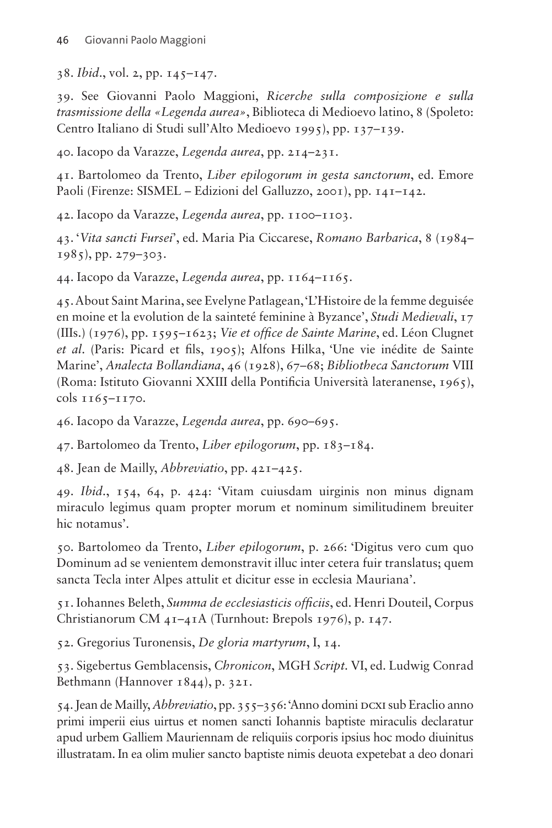<span id="page-20-0"></span>38. *Ibid*., vol. 2, pp. 145–147.

<span id="page-20-1"></span>39. See Giovanni Paolo Maggioni, *Ricerche sulla composizione e sulla trasmissione della «Legenda aurea»*, Biblioteca di Medioevo latino, 8 (Spoleto: Centro Italiano di Studi sull'Alto Medioevo 1995), pp. 137–139.

<span id="page-20-2"></span>40. Iacopo da Varazze, *Legenda aurea*, pp. 214–231.

<span id="page-20-3"></span>41. Bartolomeo da Trento, *Liber epilogorum in gesta sanctorum*, ed. Emore Paoli (Firenze: SISMEL – Edizioni del Galluzzo, 2001), pp. 141–142.

<span id="page-20-4"></span>42. Iacopo da Varazze, *Legenda aurea*, pp. 1100–1103.

<span id="page-20-5"></span>43. '*Vita sancti Fursei*', ed. Maria Pia Ciccarese, *Romano Barbarica*, 8 (1984– 1985), pp. 279–303.

<span id="page-20-6"></span>44. Iacopo da Varazze, *Legenda aurea*, pp. 1164–1165.

<span id="page-20-7"></span>45. About Saint Marina, see Evelyne Patlagean, 'L'Histoire de la femme deguisée en moine et la evolution de la sainteté feminine à Byzance', *Studi Medievali*, 17 (IIIs.) (1976), pp. 1595–1623; *Vie et office de Sainte Marine*, ed. Léon Clugnet *et al*. (Paris: Picard et fils, 1905); Alfons Hilka, 'Une vie inédite de Sainte Marine', *Analecta Bollandiana*, 46 (1928), 67–68; *Bibliotheca Sanctorum* VIII (Roma: Istituto Giovanni XXIII della Pontificia Università lateranense, 1965), cols 1165–1170.

<span id="page-20-8"></span>46. Iacopo da Varazze, *Legenda aurea*, pp. 690–695.

<span id="page-20-9"></span>47. Bartolomeo da Trento, *Liber epilogorum*, pp. 183–184.

<span id="page-20-10"></span>48. Jean de Mailly, *Abbreviatio*, pp. 421–425.

<span id="page-20-11"></span>49. *Ibid*., 154, 64, p. 424: 'Vitam cuiusdam uirginis non minus dignam miraculo legimus quam propter morum et nominum similitudinem breuiter hic notamus'.

<span id="page-20-12"></span>50. Bartolomeo da Trento, *Liber epilogorum*, p. 266: 'Digitus vero cum quo Dominum ad se venientem demonstravit illuc inter cetera fuir translatus; quem sancta Tecla inter Alpes attulit et dicitur esse in ecclesia Mauriana'.

<span id="page-20-13"></span>51. Iohannes Beleth, *Summa de ecclesiasticis officiis*, ed. Henri Douteil, Corpus Christianorum CM 41–41A (Turnhout: Brepols 1976), p. 147.

<span id="page-20-14"></span>52. Gregorius Turonensis, *De gloria martyrum*, I, 14.

<span id="page-20-15"></span>53. Sigebertus Gemblacensis, *Chronicon*, MGH *Script.* VI, ed. Ludwig Conrad Bethmann (Hannover 1844), p. 321.

<span id="page-20-16"></span>54. Jean de Mailly, *Abbreviatio*, pp. 355–356: 'Anno domini dcxi sub Eraclio anno primi imperii eius uirtus et nomen sancti Iohannis baptiste miraculis declaratur apud urbem Galliem Mauriennam de reliquiis corporis ipsius hoc modo diuinitus illustratam. In ea olim mulier sancto baptiste nimis deuota expetebat a deo donari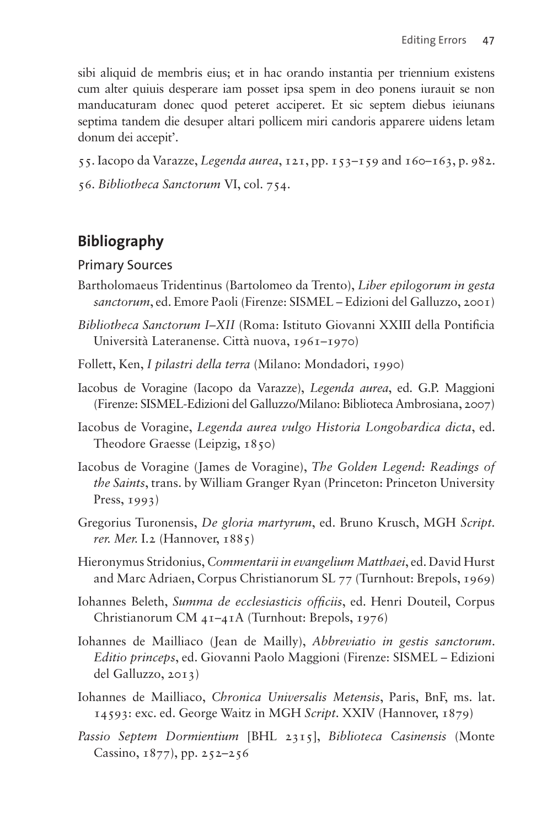sibi aliquid de membris eius; et in hac orando instantia per triennium existens cum alter quiuis desperare iam posset ipsa spem in deo ponens iurauit se non manducaturam donec quod peteret acciperet. Et sic septem diebus ieiunans septima tandem die desuper altari pollicem miri candoris apparere uidens letam donum dei accepit'.

<span id="page-21-1"></span><span id="page-21-0"></span>55. Iacopo da Varazze, *Legenda aurea*, 121, pp. 153–159 and 160–163, p. 982. 56. *Bibliotheca Sanctorum* VI, col. 754.

# **Bibliography**

#### Primary Sources

- Bartholomaeus Tridentinus (Bartolomeo da Trento), *Liber epilogorum in gesta sanctorum*, ed. Emore Paoli (Firenze: SISMEL – Edizioni del Galluzzo, 2001)
- *Bibliotheca Sanctorum I–XII* (Roma: Istituto Giovanni XXIII della Pontificia Università Lateranense. Città nuova, 1961–1970)
- Follett, Ken, *I pilastri della terra* (Milano: Mondadori, 1990)
- Iacobus de Voragine (Iacopo da Varazze), *Legenda aurea*, ed. G.P. Maggioni (Firenze: SISMEL-Edizioni del Galluzzo/Milano: Biblioteca Ambrosiana, 2007)
- Iacobus de Voragine, *Legenda aurea vulgo Historia Longobardica dicta*, ed. Theodore Graesse (Leipzig, 1850)
- Iacobus de Voragine (James de Voragine), *The Golden Legend: Readings of the Saints*, trans. by William Granger Ryan (Princeton: Princeton University Press, 1993)
- Gregorius Turonensis, *De gloria martyrum*, ed. Bruno Krusch, MGH *Script. rer. Mer.* I.2 (Hannover, 1885)
- Hieronymus Stridonius, *Commentarii in evangelium Matthaei*, ed. David Hurst and Marc Adriaen, Corpus Christianorum SL 77 (Turnhout: Brepols, 1969)
- Iohannes Beleth, *Summa de ecclesiasticis officiis*, ed. Henri Douteil, Corpus Christianorum CM 41–41A (Turnhout: Brepols, 1976)
- Iohannes de Mailliaco (Jean de Mailly), *Abbreviatio in gestis sanctorum*. *Editio princeps*, ed. Giovanni Paolo Maggioni (Firenze: SISMEL – Edizioni del Galluzzo, 2013)
- Iohannes de Mailliaco, *Chronica Universalis Metensis*, Paris, BnF, ms. lat. 14593: exc. ed. George Waitz in MGH *Script.* XXIV (Hannover, 1879)
- *Passio Septem Dormientium* [BHL 2315], *Biblioteca Casinensis* (Monte Cassino, 1877), pp. 252–256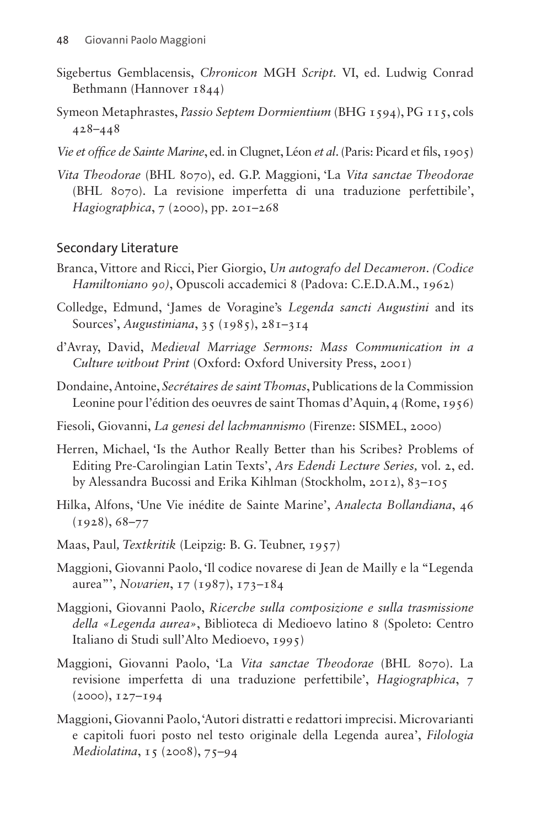- Sigebertus Gemblacensis, *Chronicon* MGH *Script.* VI, ed. Ludwig Conrad Bethmann (Hannover 1844)
- Symeon Metaphrastes, *Passio Septem Dormientium* (BHG 1594), PG 115, cols 428–448
- *Vie et office de Sainte Marine*, ed. in Clugnet, Léon *et al*. (Paris: Picard et fils, 1905)
- *Vita Theodorae* (BHL 8070), ed. G.P. Maggioni, 'La *Vita sanctae Theodorae* (BHL 8070). La revisione imperfetta di una traduzione perfettibile', *Hagiographica*, 7 (2000), pp. 201–268

#### Secondary Literature

- Branca, Vittore and Ricci, Pier Giorgio, *Un autografo del Decameron*. *(Codice Hamiltoniano 90)*, Opuscoli accademici 8 (Padova: C.E.D.A.M., 1962)
- Colledge, Edmund, 'James de Voragine's *Legenda sancti Augustini* and its Sources', *Augustiniana*, 35 (1985), 281–314
- d'Avray, David, *Medieval Marriage Sermons: Mass Communication in a Culture without Print* (Oxford: Oxford University Press, 2001)
- Dondaine, Antoine, *Secrétaires de saint Thomas*, Publications de la Commission Leonine pour l'édition des oeuvres de saint Thomas d'Aquin, 4 (Rome, 1956)
- Fiesoli, Giovanni, *La genesi del lachmannismo* (Firenze: SISMEL, 2000)
- Herren, Michael, 'Is the Author Really Better than his Scribes? Problems of Editing Pre-Carolingian Latin Texts', *Ars Edendi Lecture Series,* vol. 2, ed. by Alessandra Bucossi and Erika Kihlman (Stockholm, 2012), 83–105
- Hilka, Alfons, 'Une Vie inédite de Sainte Marine', *Analecta Bollandiana*, 46 (1928), 68–77
- Maas, Paul*, Textkritik* (Leipzig: B. G. Teubner, 1957)
- Maggioni, Giovanni Paolo, 'Il codice novarese di Jean de Mailly e la "Legenda aurea"', *Novarien*, 17 (1987), 173–184
- Maggioni, Giovanni Paolo, *Ricerche sulla composizione e sulla trasmissione della «Legenda aurea»*, Biblioteca di Medioevo latino 8 (Spoleto: Centro Italiano di Studi sull'Alto Medioevo, 1995)
- Maggioni, Giovanni Paolo, 'La *Vita sanctae Theodorae* (BHL 8070). La revisione imperfetta di una traduzione perfettibile', *Hagiographica*, 7 (2000), 127–194
- Maggioni, Giovanni Paolo, 'Autori distratti e redattori imprecisi. Microvarianti e capitoli fuori posto nel testo originale della Legenda aurea', *Filologia Mediolatina*, 15 (2008), 75–94